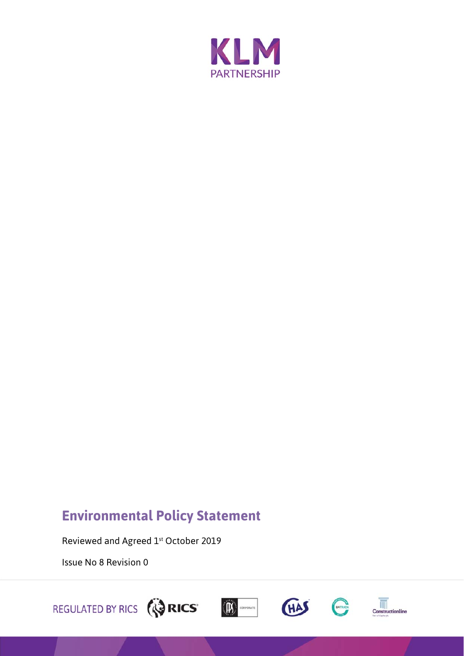

# **Environmental Policy Statement**

Reviewed and Agreed 1st October 2019

Issue No 8 Revision 0

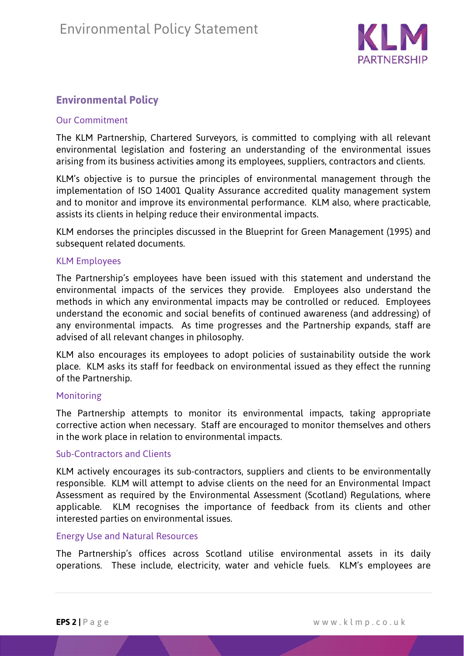

# **Environmental Policy**

# Our Commitment

The KLM Partnership, Chartered Surveyors, is committed to complying with all relevant environmental legislation and fostering an understanding of the environmental issues arising from its business activities among its employees, suppliers, contractors and clients.

KLM's objective is to pursue the principles of environmental management through the implementation of ISO 14001 Quality Assurance accredited quality management system and to monitor and improve its environmental performance. KLM also, where practicable, assists its clients in helping reduce their environmental impacts.

KLM endorses the principles discussed in the Blueprint for Green Management (1995) and subsequent related documents.

# KLM Employees

The Partnership's employees have been issued with this statement and understand the environmental impacts of the services they provide. Employees also understand the methods in which any environmental impacts may be controlled or reduced. Employees understand the economic and social benefits of continued awareness (and addressing) of any environmental impacts. As time progresses and the Partnership expands, staff are advised of all relevant changes in philosophy.

KLM also encourages its employees to adopt policies of sustainability outside the work place. KLM asks its staff for feedback on environmental issued as they effect the running of the Partnership.

# Monitoring

The Partnership attempts to monitor its environmental impacts, taking appropriate corrective action when necessary. Staff are encouraged to monitor themselves and others in the work place in relation to environmental impacts.

#### Sub-Contractors and Clients

KLM actively encourages its sub-contractors, suppliers and clients to be environmentally responsible. KLM will attempt to advise clients on the need for an Environmental Impact Assessment as required by the Environmental Assessment (Scotland) Regulations, where applicable. KLM recognises the importance of feedback from its clients and other interested parties on environmental issues.

#### Energy Use and Natural Resources

The Partnership's offices across Scotland utilise environmental assets in its daily operations. These include, electricity, water and vehicle fuels. KLM's employees are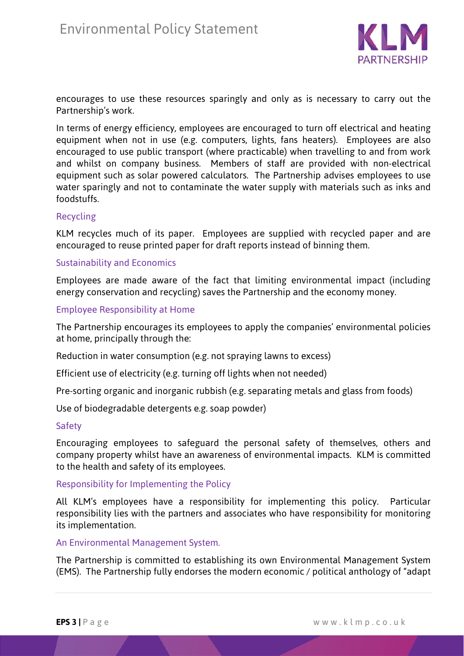

encourages to use these resources sparingly and only as is necessary to carry out the Partnership's work.

In terms of energy efficiency, employees are encouraged to turn off electrical and heating equipment when not in use (e.g. computers, lights, fans heaters). Employees are also encouraged to use public transport (where practicable) when travelling to and from work and whilst on company business. Members of staff are provided with non-electrical equipment such as solar powered calculators. The Partnership advises employees to use water sparingly and not to contaminate the water supply with materials such as inks and foodstuffs.

#### Recycling

KLM recycles much of its paper. Employees are supplied with recycled paper and are encouraged to reuse printed paper for draft reports instead of binning them.

#### Sustainability and Economics

Employees are made aware of the fact that limiting environmental impact (including energy conservation and recycling) saves the Partnership and the economy money.

#### Employee Responsibility at Home

The Partnership encourages its employees to apply the companies' environmental policies at home, principally through the:

Reduction in water consumption (e.g. not spraying lawns to excess)

Efficient use of electricity (e.g. turning off lights when not needed)

Pre-sorting organic and inorganic rubbish (e.g. separating metals and glass from foods)

Use of biodegradable detergents e.g. soap powder)

#### **Safety**

Encouraging employees to safeguard the personal safety of themselves, others and company property whilst have an awareness of environmental impacts. KLM is committed to the health and safety of its employees.

Responsibility for Implementing the Policy

All KLM's employees have a responsibility for implementing this policy. Particular responsibility lies with the partners and associates who have responsibility for monitoring its implementation.

#### An Environmental Management System.

The Partnership is committed to establishing its own Environmental Management System (EMS). The Partnership fully endorses the modern economic / political anthology of "adapt